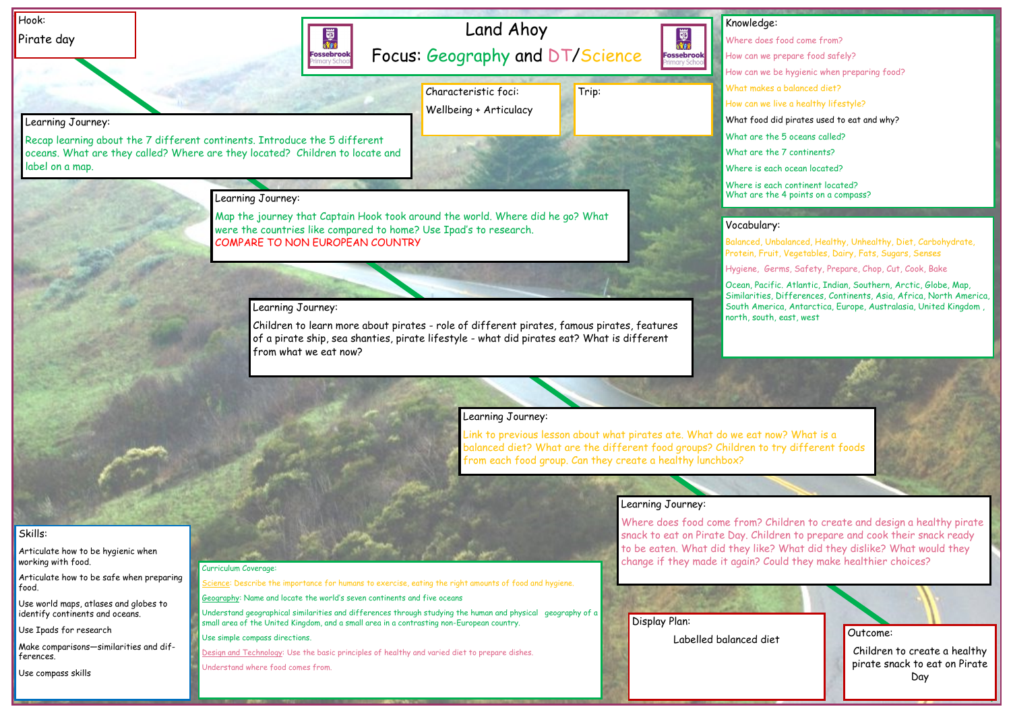Outcome:

Children to create a healthy pirate snack to eat on Pirate Day

Use compass skills

## lge:

es food come from? ve prepare food safely? ve be hygienic when preparing food? kes a balanced diet? ve live a healthy lifestyle? d did pirates used to eat and why? the 5 oceans called? the 7 continents? each ocean located?

each continent located? the 4 points on a compass?

## ary:

| Hook:                                                                    |                                                                                                                                                            | Land Ahoy                                                                                                   | Knowled                                                                                                                     |
|--------------------------------------------------------------------------|------------------------------------------------------------------------------------------------------------------------------------------------------------|-------------------------------------------------------------------------------------------------------------|-----------------------------------------------------------------------------------------------------------------------------|
| Pirate day                                                               | 國流行<br><b>Fossebrook</b>                                                                                                                                   |                                                                                                             | 國流<br>Where do<br><b>Fossebrook</b><br>How can w                                                                            |
|                                                                          |                                                                                                                                                            | Focus: Geography and DT/Science                                                                             | How can w                                                                                                                   |
|                                                                          |                                                                                                                                                            | Characteristic foci:                                                                                        | What mak<br>Trip:                                                                                                           |
|                                                                          |                                                                                                                                                            | Wellbeing + Articulacy                                                                                      | How can w                                                                                                                   |
| Learning Journey:                                                        |                                                                                                                                                            |                                                                                                             | What food                                                                                                                   |
| label on a map.                                                          | Recap learning about the 7 different continents. Introduce the 5 different<br>oceans. What are they called? Where are they located? Children to locate and |                                                                                                             | What are<br>What are<br>Where is                                                                                            |
|                                                                          |                                                                                                                                                            |                                                                                                             | Where is                                                                                                                    |
|                                                                          | Learning Journey:                                                                                                                                          |                                                                                                             | What are                                                                                                                    |
|                                                                          |                                                                                                                                                            | Map the journey that Captain Hook took around the world. Where did he go? What                              |                                                                                                                             |
|                                                                          |                                                                                                                                                            | were the countries like compared to home? Use Ipad's to research.                                           | Vocabulo                                                                                                                    |
|                                                                          | <b>COMPARE TO NON EUROPEAN COUNTRY</b>                                                                                                                     |                                                                                                             | Balanced,<br>Protein, FI                                                                                                    |
|                                                                          |                                                                                                                                                            |                                                                                                             | Hygiene,                                                                                                                    |
|                                                                          |                                                                                                                                                            |                                                                                                             | Ocean, Pa                                                                                                                   |
|                                                                          | Learning Journey:                                                                                                                                          |                                                                                                             | Similaritie<br>South Am                                                                                                     |
|                                                                          |                                                                                                                                                            | Children to learn more about pirates - role of different pirates, famous pirates, features                  | north, sou                                                                                                                  |
|                                                                          |                                                                                                                                                            | of a pirate ship, sea shanties, pirate lifestyle - what did pirates eat? What is different                  |                                                                                                                             |
|                                                                          | from what we eat now?                                                                                                                                      |                                                                                                             |                                                                                                                             |
|                                                                          |                                                                                                                                                            |                                                                                                             |                                                                                                                             |
|                                                                          |                                                                                                                                                            |                                                                                                             |                                                                                                                             |
|                                                                          |                                                                                                                                                            |                                                                                                             |                                                                                                                             |
|                                                                          |                                                                                                                                                            | Learning Journey:                                                                                           |                                                                                                                             |
|                                                                          |                                                                                                                                                            |                                                                                                             | Link to previous lesson about what pirates ate. What do we eat                                                              |
|                                                                          |                                                                                                                                                            |                                                                                                             | balanced diet? What are the different food groups? Children to<br>from each food group. Can they create a healthy lunchbox? |
|                                                                          |                                                                                                                                                            |                                                                                                             |                                                                                                                             |
|                                                                          |                                                                                                                                                            |                                                                                                             |                                                                                                                             |
|                                                                          |                                                                                                                                                            |                                                                                                             | Learning Journey:                                                                                                           |
|                                                                          |                                                                                                                                                            |                                                                                                             | Where does food come from?                                                                                                  |
| Skills:                                                                  |                                                                                                                                                            |                                                                                                             | snack to eat on Pirate Day. Chi                                                                                             |
| Articulate how to be hygienic when<br>working with food.                 |                                                                                                                                                            |                                                                                                             | to be eaten. What did they lik<br>change if they made it again?                                                             |
| Articulate how to be safe when preparing                                 | Curriculum Coverage:                                                                                                                                       |                                                                                                             |                                                                                                                             |
| food.                                                                    | Geography: Name and locate the world's seven continents and five oceans                                                                                    | Science: Describe the importance for humans to exercise, eating the right amounts of food and hygiene.      |                                                                                                                             |
| Use world maps, atlases and globes to<br>identify continents and oceans. |                                                                                                                                                            | Understand geographical similarities and differences through studying the human and physical geography of a |                                                                                                                             |
| Use Ipads for research                                                   | small area of the United Kingdom, and a small area in a contrasting non-European country.                                                                  |                                                                                                             | Display Plan:                                                                                                               |
| Make comparisons-similarities and dif-                                   | Use simple compass directions.                                                                                                                             |                                                                                                             | Labelled balanced c                                                                                                         |
| ferences.                                                                | Understand where food comes from.                                                                                                                          | Design and Technology: Use the basic principles of healthy and varied diet to prepare dishes.               |                                                                                                                             |

Balanced, Unbalanced, Healthy, Unhealthy, Diet, Carbohydrate, Protein, Fruit, Vegetables, Dairy, Fats, Sugars, Senses

Germs, Safety, Prepare, Chop, Cut, Cook, Bake

icific. Atlantic, Indian, Southern, Arctic, Globe, Map, es, Differences, Continents, Asia, Africa, North America, erica, Antarctica, Europe, Australasia, United Kingdom , ith, east, west,

now? What is a o try different foods<sup>.</sup>

Children to create and design a healthy pirate ildren to prepare and cook their snack ready te? What did they dislike? What would they Could they make healthier choices?

diet